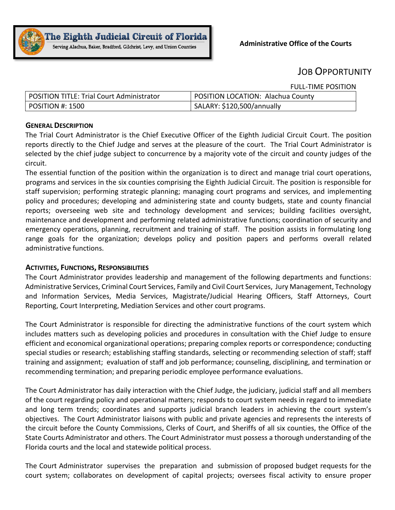

# JOB OPPORTUNITY

FULL-TIME POSITION

| POSITION TITLE: Trial Court Administrator | POSITION LOCATION: Alachua County |
|-------------------------------------------|-----------------------------------|
| $\vert$ POSITION #: 1500                  | SALARY: \$120,500/annually        |

## **GENERALDESCRIPTION**

The Trial Court Administrator is the Chief Executive Officer of the Eighth Judicial Circuit Court. The position reports directly to the Chief Judge and serves at the pleasure of the court. The Trial Court Administrator is selected by the chief judge subject to concurrence by a majority vote of the circuit and county judges of the circuit.

The essential function of the position within the organization is to direct and manage trial court operations, programs and services in the six counties comprising the Eighth Judicial Circuit. The position is responsible for staff supervision; performing strategic planning; managing court programs and services, and implementing policy and procedures; developing and administering state and county budgets, state and county financial reports; overseeing web site and technology development and services; building facilities oversight, maintenance and development and performing related administrative functions; coordination of security and emergency operations, planning, recruitment and training of staff. The position assists in formulating long range goals for the organization; develops policy and position papers and performs overall related administrative functions.

## **ACTIVITIES, FUNCTIONS, RESPONSIBILITIES**

The Court Administrator provides leadership and management of the following departments and functions: Administrative Services, Criminal Court Services, Family and Civil Court Services, Jury Management, Technology and Information Services, Media Services, Magistrate/Judicial Hearing Officers, Staff Attorneys, Court Reporting, Court Interpreting, Mediation Services and other court programs.

The Court Administrator is responsible for directing the administrative functions of the court system which includes matters such as developing policies and procedures in consultation with the Chief Judge to ensure efficient and economical organizational operations; preparing complex reports or correspondence; conducting special studies or research; establishing staffing standards, selecting or recommending selection of staff; staff training and assignment; evaluation of staff and job performance; counseling, disciplining, and termination or recommending termination; and preparing periodic employee performance evaluations.

The Court Administrator has daily interaction with the Chief Judge, the judiciary, judicial staff and all members of the court regarding policy and operational matters; responds to court system needs in regard to immediate and long term trends; coordinates and supports judicial branch leaders in achieving the court system's objectives. The Court Administrator liaisons with public and private agencies and represents the interests of the circuit before the County Commissions, Clerks of Court, and Sheriffs of all six counties, the Office of the State Courts Administrator and others. The Court Administrator must possess a thorough understanding of the Florida courts and the local and statewide political process.

The Court Administrator supervises the preparation and submission of proposed budget requests for the court system; collaborates on development of capital projects; oversees fiscal activity to ensure proper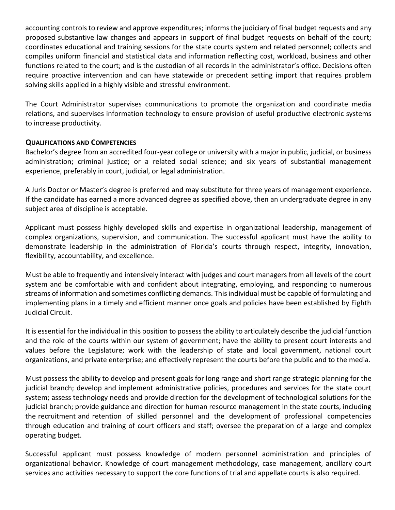accounting controls to review and approve expenditures; informs the judiciary of final budget requests and any proposed substantive law changes and appears in support of final budget requests on behalf of the court; coordinates educational and training sessions for the state courts system and related personnel; collects and compiles uniform financial and statistical data and information reflecting cost, workload, business and other functions related to the court; and is the custodian of all records in the administrator's office. Decisions often require proactive intervention and can have statewide or precedent setting import that requires problem solving skills applied in a highly visible and stressful environment.

The Court Administrator supervises communications to promote the organization and coordinate media relations, and supervises information technology to ensure provision of useful productive electronic systems to increase productivity.

## **QUALIFICATIONS AND COMPETENCIES**

Bachelor's degree from an accredited four-year college or university with a major in public, judicial, or business administration; criminal justice; or a related social science; and six years of substantial management experience, preferably in court, judicial, or legal administration.

A Juris Doctor or Master's degree is preferred and may substitute for three years of management experience. If the candidate has earned a more advanced degree as specified above, then an undergraduate degree in any subject area of discipline is acceptable.

Applicant must possess highly developed skills and expertise in organizational leadership, management of complex organizations, supervision, and communication. The successful applicant must have the ability to demonstrate leadership in the administration of Florida's courts through respect, integrity, innovation, flexibility, accountability, and excellence.

Must be able to frequently and intensively interact with judges and court managers from all levels of the court system and be comfortable with and confident about integrating, employing, and responding to numerous streams of information and sometimes conflicting demands. This individual must be capable of formulating and implementing plans in a timely and efficient manner once goals and policies have been established by Eighth Judicial Circuit.

It is essential for the individual in this position to possess the ability to articulately describe the judicial function and the role of the courts within our system of government; have the ability to present court interests and values before the Legislature; work with the leadership of state and local government, national court organizations, and private enterprise; and effectively represent the courts before the public and to the media.

Must possess the ability to develop and present goals for long range and short range strategic planning for the judicial branch; develop and implement administrative policies, procedures and services for the state court system; assess technology needs and provide direction for the development of technological solutions for the judicial branch; provide guidance and direction for human resource management in the state courts, including the recruitment and retention of skilled personnel and the development of professional competencies through education and training of court officers and staff; oversee the preparation of a large and complex operating budget.

Successful applicant must possess knowledge of modern personnel administration and principles of organizational behavior. Knowledge of court management methodology, case management, ancillary court services and activities necessary to support the core functions of trial and appellate courts is also required.